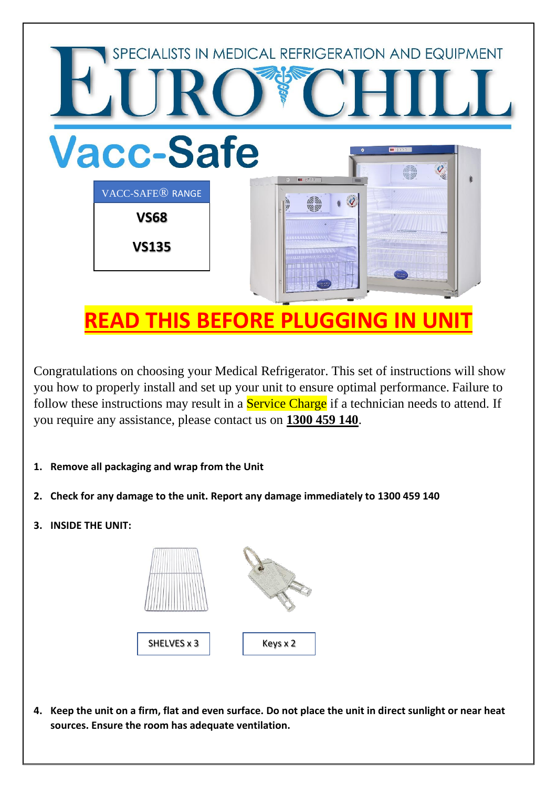

Congratulations on choosing your Medical Refrigerator. This set of instructions will show you how to properly install and set up your unit to ensure optimal performance. Failure to follow these instructions may result in a **Service Charge** if a technician needs to attend. If you require any assistance, please contact us on **1300 459 140**.

- **1. Remove all packaging and wrap from the Unit**
- **2. Check for any damage to the unit. Report any damage immediately to 1300 459 140**
- **3. INSIDE THE UNIT:**



**4. Keep the unit on a firm, flat and even surface. Do not place the unit in direct sunlight or near heat sources. Ensure the room has adequate ventilation.**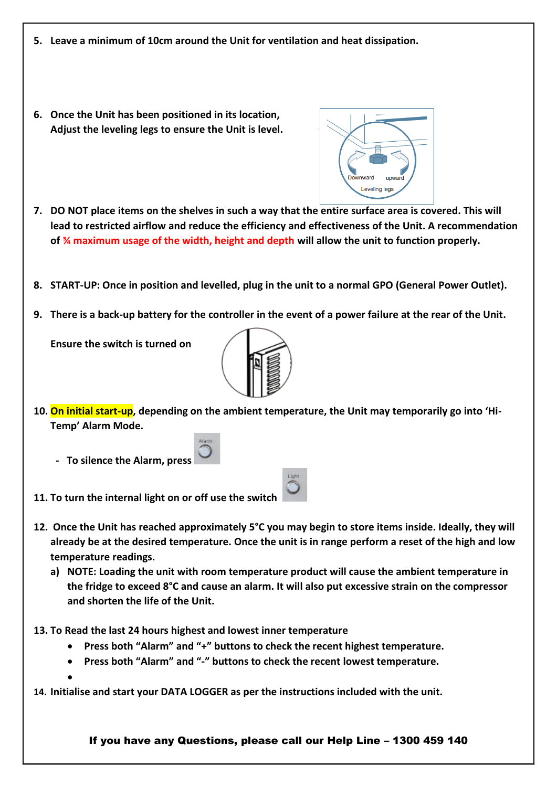- **5. Leave a minimum of 10cm around the Unit for ventilation and heat dissipation.**
- **6. Once the Unit has been positioned in its location, Adjust the leveling legs to ensure the Unit is level.**
- 
- **7. DO NOT place items on the shelves in such a way that the entire surface area is covered. This will lead to restricted airflow and reduce the efficiency and effectiveness of the Unit. A recommendation of ¾ maximum usage of the width, height and depth will allow the unit to function properly.**
- **8. START-UP: Once in position and levelled, plug in the unit to a normal GPO (General Power Outlet).**
- **9. There is a back-up battery for the controller in the event of a power failure at the rear of the Unit.**

**Ensure the switch is turned on** 



- **10. On initial start-up, depending on the ambient temperature, the Unit may temporarily go into 'Hi-Temp' Alarm Mode.** 
	- **To silence the Alarm, press**

**11. To turn the internal light on or off use the switch** 

- **12. Once the Unit has reached approximately 5°C you may begin to store items inside. Ideally, they will already be at the desired temperature. Once the unit is in range perform a reset of the high and low temperature readings.**
	- **a) NOTE: Loading the unit with room temperature product will cause the ambient temperature in the fridge to exceed 8°C and cause an alarm. It will also put excessive strain on the compressor and shorten the life of the Unit.**
- **13. To Read the last 24 hours highest and lowest inner temperature**
	- **Press both "Alarm" and "+" buttons to check the recent highest temperature.**
	- **Press both "Alarm" and "-" buttons to check the recent lowest temperature.**

•

**14. Initialise and start your DATA LOGGER as per the instructions included with the unit.**

If you have any Questions, please call our Help Line – 1300 459 140